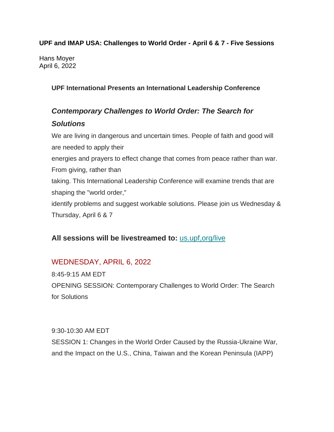#### **UPF and IMAP USA: Challenges to World Order - April 6 & 7 - Five Sessions**

Hans Moyer April 6, 2022

#### **UPF International Presents an International Leadership Conference**

# *Contemporary Challenges to World Order: The Search for*

#### *Solutions*

We are living in dangerous and uncertain times. People of faith and good will are needed to apply their energies and prayers to effect change that comes from peace rather than war. From giving, rather than taking. This International Leadership Conference will examine trends that are shaping the "world order," identify problems and suggest workable solutions. Please join us Wednesday & Thursday, April 6 & 7

### **All sessions will be livestreamed to:** us.upf,org/live

## WEDNESDAY, APRIL 6, 2022

8:45-9:15 AM EDT OPENING SESSION: Contemporary Challenges to World Order: The Search for Solutions

9:30-10:30 AM EDT

SESSION 1: Changes in the World Order Caused by the Russia-Ukraine War, and the Impact on the U.S., China, Taiwan and the Korean Peninsula (IAPP)